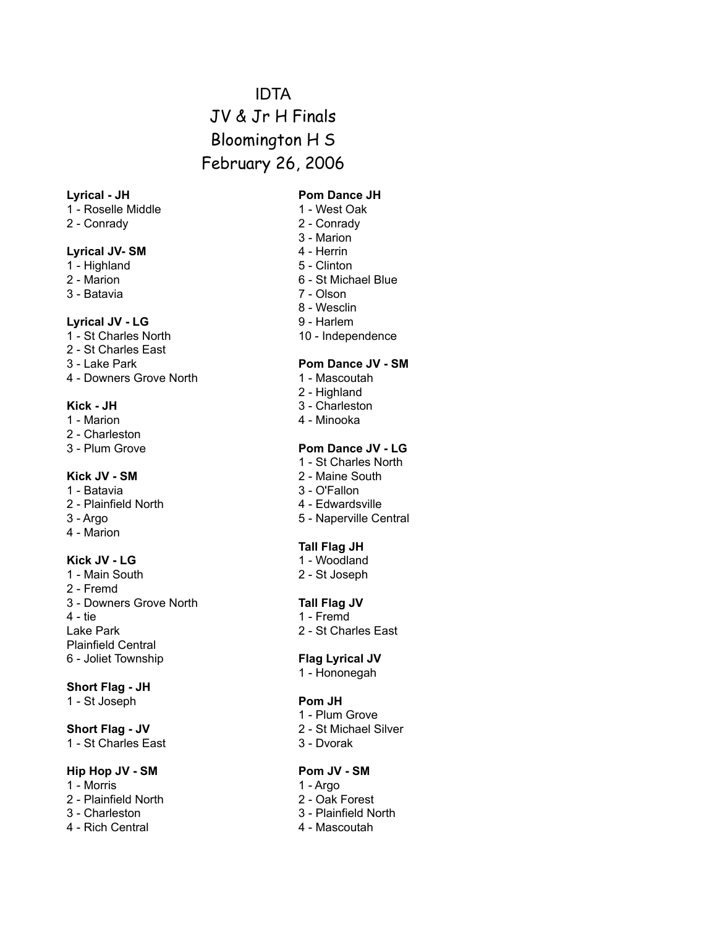# IDTA JV & Jr H Finals Bloomington H S February 26, 2006

- 1 Roselle Middle 1 West Oak
- 2 Conrady 2 Conrady

#### Lyrical JV- SM 4 - Herrin

- 1 Highland 5 Clinton
- 
- 3 Batavia 7 Olson

#### Lyrical JV - LG 9 - Harlem

- 
- 2 St Charles East
- 
- 4 Downers Grove North 1 Mascoutah

- 1 Marion **1 Marion 1 Minooka**
- 2 Charleston
- 

- 
- 2 Plainfield North 4 Edwardsville
- 
- 4 Marion

1 - Main South 2 - St Joseph 2 - Fremd 3 - Downers Grove North **Tall Flag JV** 4 - tie 1 - Fremd Lake Park 2 - St Charles East Plainfield Central 6 - Joliet Township **Flag Lyrical JV**

#### **Short Flag - JH**

1 - St Joseph **Pom JH**

1 - St Charles East 3 - Dvorak

#### **Hip Hop JV - SM Pom JV - SM**

- 1 Morris 1 Argo
- 2 Plainfield North 2 Oak Forest
- 
- 4 Rich Central 4 Mascoutah

#### **Lyrical - JH Pom Dance JH**

- 
- 
- 3 Marion
- 
- 
- 2 Marion 6 St Michael Blue
	-
	- 8 Wesclin
	-
- 1 St Charles North 10 Independence

#### 3 - Lake Park **Pom Dance JV - SM**

- 
- 2 Highland
- Kick JH 3 Charleston
	-

### 3 - Plum Grove **Pom Dance JV - LG**

- 1 St Charles North
- **Kick JV SM** 2 Maine South
- 1 Batavia 3 O'Fallon
	-
- 3 Argo 5 Naperville Central

#### **Tall Flag JH**

- **Kick JV LG** 1 Woodland
	-

- 
- 

1 - Hononegah

- 1 Plum Grove
- **Short Flag JV** 2 St Michael Silver
	-

- 
- 
- 3 Charleston 3 Plainfield North
	-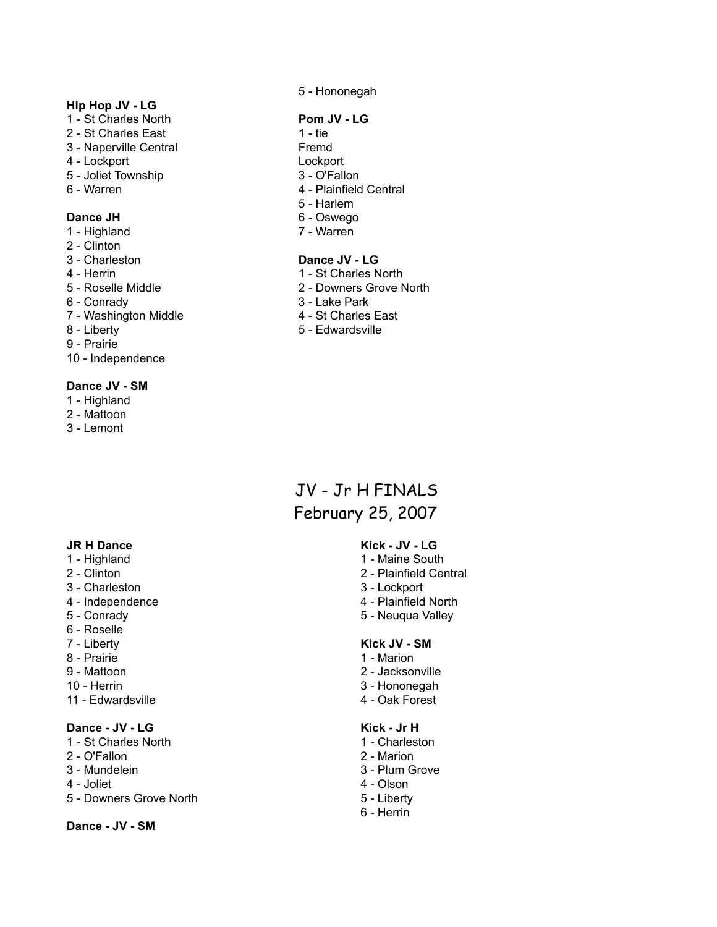### **Hip Hop JV - LG**

- 1 St Charles North **Pom JV LG**
- 2 St Charles East 1 tie
- 3 Naperville Central Fremd
- 4 Lockport Lockport
- 5 Joliet Township 3 O'Fallon
- 

- 1 Highland 7 Warren
- 2 Clinton
- 
- 
- 
- 
- 7 Washington Middle 4 St Charles East
- 
- 9 Prairie
- 10 Independence

### **Dance JV - SM**

- 1 Highland
- 2 Mattoon
- 3 Lemont

- 
- 
- 3 Charleston 3 Lockport
- 4 Independence 4 Plainfield North
- 
- 6 Roselle
- 
- 
- 
- 
- 11 Edwardsville **4 Oak Forest**

## **Dance - JV - LG Kick - Jr H**

- 1 St Charles North 1 Charleston
- 2 O'Fallon 2 Marion
- 
- 
- 5 Downers Grove North 5 Liberty

#### **Dance - JV - SM**

5 - Hononegah

- 
- 
- 
- 
- 6 Warren 1980 1991 Plainfield Central
	- 5 Harlem
- **Dance JH** 6 Oswego
	-

### 3 - Charleston **Dance JV - LG**

- 4 Herrin 1 St Charles North
- 5 Roselle Middle 2 Downers Grove North
- 6 Conrady 3 Lake Park
	-
- 8 Liberty **6 Edwardsville**

# JV - Jr H FINALS February 25, 2007

# **JR H Dance Kick - JV - LG**

- 1 Highland 1 Maine South 2 - Clinton 2 - Plainfield Central
	-
	-
- 5 Conrady 5 Neuqua Valley

#### 7 - Liberty **Kick JV - SM**

- 8 Prairie 1 Marion
- 9 Mattoon 2 Jacksonville
- 10 Herrin 3 Hononegah
	-

- 
- 
- 3 Mundelein 3 Plum Grove<br>4 Joliet 2008 2009 2009 2009 2009 2009 2009 2009 2010 2010 2010 2010 2010 2010 2<br>2010 2010 2010 2010 2010 2010 2010 2010 2010 2010 2010 2010
	- 4 Olson
	-
	- 6 Herrin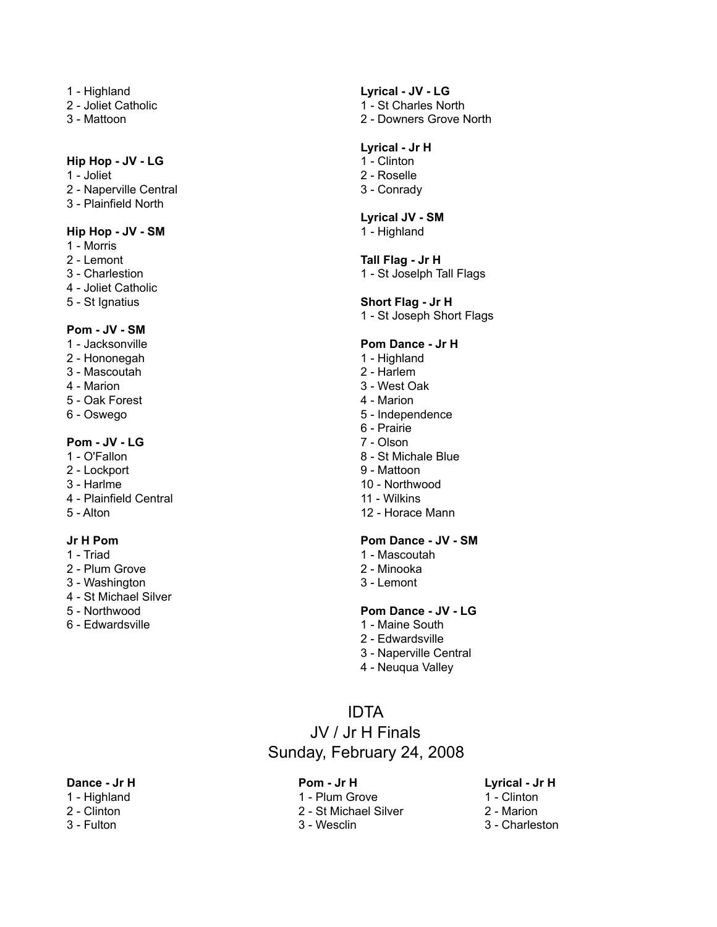- 
- 
- 

#### **Hip Hop - JV - LG** 1 - Clinton

- 
- 2 Naperville Central 3 Conrady
- 3 Plainfield North

#### **Hip Hop - JV - SM** 1 - Highland

- 1 Morris
- 
- 
- 4 Joliet Catholic
- 

# **Pom - JV - SM**

- 
- 2 Hononegah 1 Highland
- 3 Mascoutah 2 Harlem
- 
- 5 Oak Forest 4 Marion
- 

### **Pom - JV - LG** 7 - Olson

- 
- 2 Lockport 9 Mattoon
- 
- 3 Harlme 10 Northwood<br>
4 Plainfield Central 11 Wilkins 4 - Plainfield Central
- 

- 
- 
- 3 Washington 3 Lemont
- 4 St Michael Silver
- 
- 6 Edwardsville 1 Maine South

# 1 - Highland **Lyrical - JV - LG**

- 2 Joliet Catholic 2 St Charles North
- 3 Mattoon 2 Downers Grove North

### **Lyrical - Jr H**

- 
- 1 Joliet 2 Roselle
	-

### **Lyrical JV - SM**

#### 2 - Lemont **Tall Flag - Jr H**

3 - Charlestion 1 - St Joselph Tall Flags

#### 5 - St Ignatius **Short Flag - Jr H**

1 - St Joseph Short Flags

### **Pom Dance - Jr H**

- 
- 
- 4 Marion 3 West Oak
	-
- 6 Oswego 5 Independence
	- 6 Prairie
	-
- 1 O'Fallon 8 St Michale Blue
	-
	-
	-
- 5 Alton 12 Horace Mann

### **Jr H Pom Pom Dance - JV - SM**

- 1 Triad 1 Mascoutah
- 2 Plum Grove 2 Minooka
	-

### 5 - Northwood **Pom Dance - JV - LG**

- 
- 2 Edwardsville
- 3 Naperville Central
- 4 Neuqua Valley

# IDTA

# JV / Jr H Finals Sunday, February 24, 2008

#### **Dance - Jr H Pom - Jr H Lyrical - Jr H**

- 
- 
- 

- 1 Highland 1 Plum Grove 1 Clinton
- 2 Clinton 2 St Michael Silver 2 Marion
	-

- 
- 
- 3 Fulton 3 Wesclin 3 Charleston
-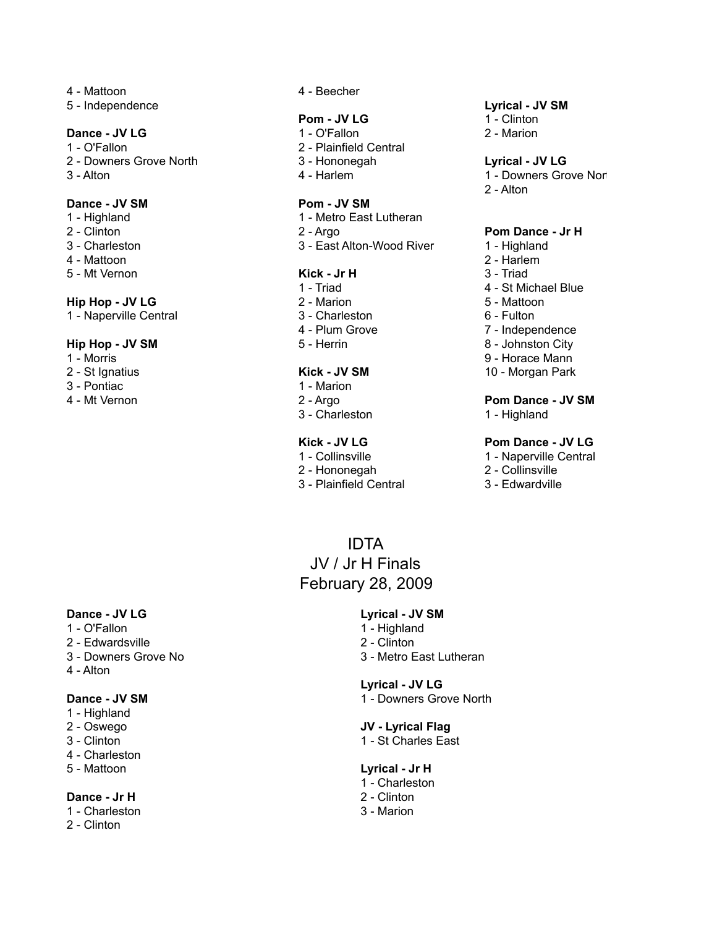- 
- 5 Independence **Lyrical JV SM**

- 
- 
- 

### **Dance - JV SM Pom - JV SM**

- 
- 
- 
- 4 Mattoon 2 Harlem
- 5 Mt Vernon **Kick Jr H** 3 Triad

### **Hip Hop - JV LG** 2 - Marion 2 - Marion 5 - Mattoon

1 - Naperville Central 2001 1 - 3 - Charleston 3 - Charleston 6 - Fulton

### **Hip Hop - JV SM** 5 - Herrin 8 - Johnston City

- 
- 
- 3 Pontiac 2012 1 Marion
- 

4 - Mattoon 4 - Beecher

### **Pom - JV LG** 1 - Clinton

- **Dance JV LG** 2 Marion 2 Marion 2 Marion 2 Marion 2 Marion 2 Marion 2 Marion 2 Marion 2 Marion
- 1 O'Fallon 2 Plainfield Central
	-
	-

- 1 Highland 1 Metro East Lutheran
	-
- 3 Charleston 3 East Alton-Wood River 1 Highland

- 
- 
- 
- 4 Plum Grove 7 Independence
- 

### 2 - St Ignatius **Kick - JV SM** 10 - Morgan Park

- 
- 
- 3 Charleston 1 Highland

- 
- 
- 

February 28, 2009

IDTA JV / Jr H Finals

- 
- 

#### 2 - Downers Grove North 3 - Hononegah **Lyrical - JV LG**

- 3 Alton 1 Downers Grove North Alton 4 Harlem 1 Downers Grove North Alton 1 Downers Grove North Alton Alton Alton Alton Alton Alton Alton Alton Alton Alton Alton Alton Alton Alton Alton Alton Alton Alton Alton Alt
	- 2 Alton

### 2 - Clinton 2 - Argo **Pom Dance - Jr H**

- 
- 
- 
- 1 Triad 1 Triad 2001 1 St Michael Blue
	-
	-
	-
	-
- 1 Morris 9 Horace Mann
	-

# 4 - Mt Vernon 2 - Argo **Pom Dance - JV SM**

### **Kick - JV LG Pom Dance - JV LG**

- 1 Collinsville 1 Naperville Central
- 2 Hononegah 2 Collinsville
- 3 Plainfield Central 3 Edwardville

### **Dance - JV LG Lyrical - JV SM**

- 
- 2 Edwardsville 2 Clinton
- 
- 4 Alton

- 1 Highland
- 
- 
- 4 Charleston
- 

### **Dance - Jr H** 2 - Clinton

- 1 Charleston 3 Marion
- 2 Clinton

# 1 - O'Fallon 2001 1 - Highland

- 
- 3 Downers Grove No 3 Metro East Lutheran

#### **Lyrical - JV LG**

**Dance - JV SM** 1 - Downers Grove North

# 2 - Oswego **JV - Lyrical Flag**

3 - Clinton 1 - St Charles East

### 5 - Mattoon **Lyrical - Jr H**

- 1 Charleston
- 
-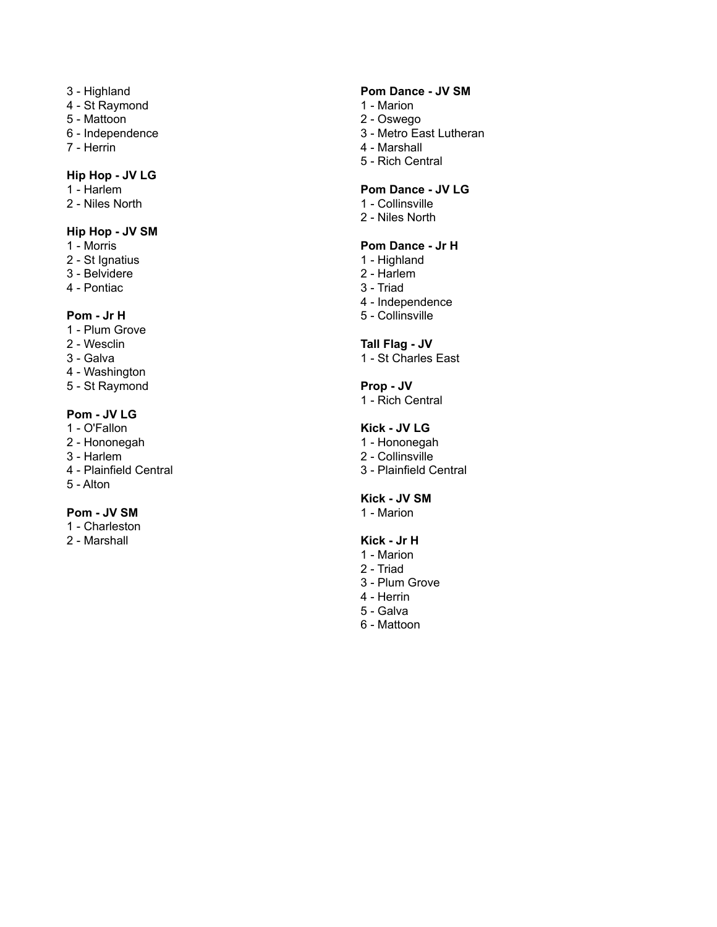- 
- 4 St Raymond 1 Marion
- 
- 
- 

### **Hip Hop - JV LG**

- 
- 2 Niles North 2-1 Collinsville

### **Hip Hop - JV SM**

- 
- 2 St Ignatius 1 Highland
- 3 Belvidere 2 Harlem
- 4 Pontiac 3 Triad

- 1 Plum Grove
- 
- 
- 4 Washington
- 5 St Raymond **Prop JV**

# **Pom - JV LG**

- 1 O'Fallon **Kick JV LG**
- 
- 
- 4 Plainfield Central 3 Plainfield Central
- 5 Alton

### **Pom - JV SM** 1 - Marion

- 1 Charleston
- 

# 3 - Highland **Pom Dance - JV SM**

- 
- 5 Mattoon 2 Oswego
- 6 Independence 3 Metro East Lutheran
- 7 Herrin 4 Marshall
	- 5 Rich Central

## 1 - Harlem **Pom Dance - JV LG**

- 
- 2 Niles North

# 1 - Morris **Pom Dance - Jr H**

- 
- 
- 
- 4 Independence
- **Pom Jr H** 5 Collinsville

### 2 - Wesclin **Tall Flag - JV**

3 - Galva 2012 1 - St Charles East

1 - Rich Central

- 2 Hononegah 1 Hononegah
- 3 Harlem 2 Collinsville
	-

# **Kick - JV SM**

### 2 - Marshall **Kick - Jr H**

- 1 Marion
- 2 Triad
- 3 Plum Grove
- 4 Herrin
- 5 Galva
- 6 Mattoon